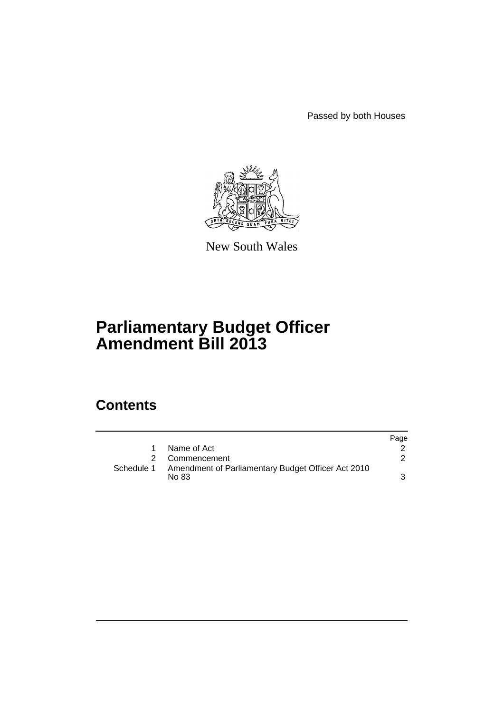Passed by both Houses



New South Wales

# **Parliamentary Budget Officer Amendment Bill 2013**

## **Contents**

|            |                                                              | Page |
|------------|--------------------------------------------------------------|------|
| 1.         | Name of Act                                                  |      |
|            | 2 Commencement                                               |      |
| Schedule 1 | Amendment of Parliamentary Budget Officer Act 2010<br>No 83. | 3    |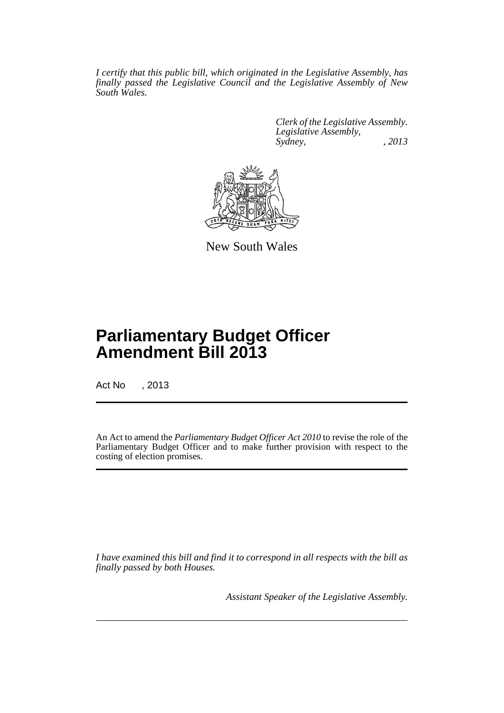*I certify that this public bill, which originated in the Legislative Assembly, has finally passed the Legislative Council and the Legislative Assembly of New South Wales.*

> *Clerk of the Legislative Assembly. Legislative Assembly, Sydney, , 2013*



New South Wales

# **Parliamentary Budget Officer Amendment Bill 2013**

Act No , 2013

An Act to amend the *Parliamentary Budget Officer Act 2010* to revise the role of the Parliamentary Budget Officer and to make further provision with respect to the costing of election promises.

*I have examined this bill and find it to correspond in all respects with the bill as finally passed by both Houses.*

*Assistant Speaker of the Legislative Assembly.*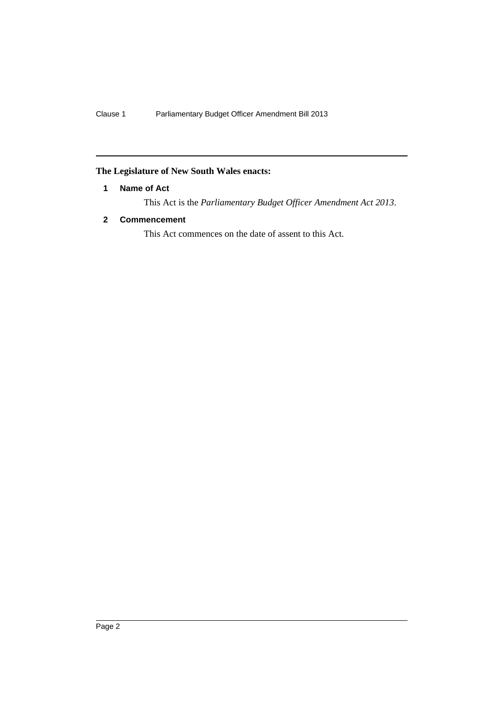### <span id="page-3-0"></span>**The Legislature of New South Wales enacts:**

#### **1 Name of Act**

This Act is the *Parliamentary Budget Officer Amendment Act 2013*.

#### <span id="page-3-1"></span>**2 Commencement**

This Act commences on the date of assent to this Act.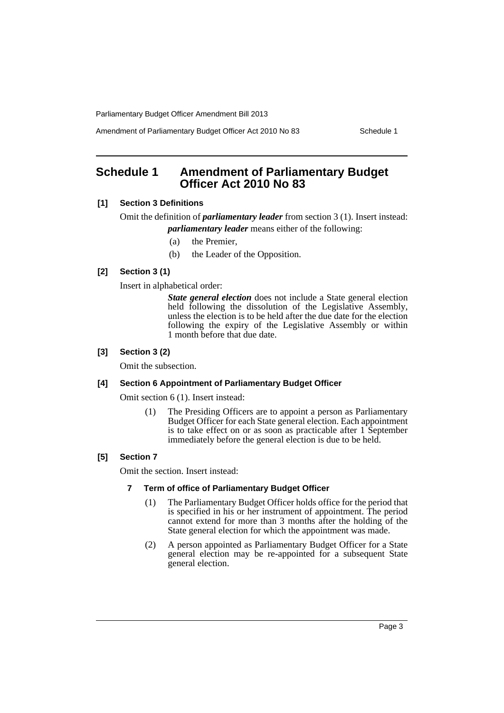Amendment of Parliamentary Budget Officer Act 2010 No 83 Schedule 1

### <span id="page-4-0"></span>**Schedule 1 Amendment of Parliamentary Budget Officer Act 2010 No 83**

#### **[1] Section 3 Definitions**

Omit the definition of *parliamentary leader* from section 3 (1). Insert instead: *parliamentary leader* means either of the following:

- (a) the Premier,
- (b) the Leader of the Opposition.

#### **[2] Section 3 (1)**

Insert in alphabetical order:

*State general election* does not include a State general election held following the dissolution of the Legislative Assembly, unless the election is to be held after the due date for the election following the expiry of the Legislative Assembly or within 1 month before that due date.

#### **[3] Section 3 (2)**

Omit the subsection.

#### **[4] Section 6 Appointment of Parliamentary Budget Officer**

Omit section 6 (1). Insert instead:

(1) The Presiding Officers are to appoint a person as Parliamentary Budget Officer for each State general election. Each appointment is to take effect on or as soon as practicable after 1 September immediately before the general election is due to be held.

#### **[5] Section 7**

Omit the section. Insert instead:

#### **7 Term of office of Parliamentary Budget Officer**

- (1) The Parliamentary Budget Officer holds office for the period that is specified in his or her instrument of appointment. The period cannot extend for more than 3 months after the holding of the State general election for which the appointment was made.
- (2) A person appointed as Parliamentary Budget Officer for a State general election may be re-appointed for a subsequent State general election.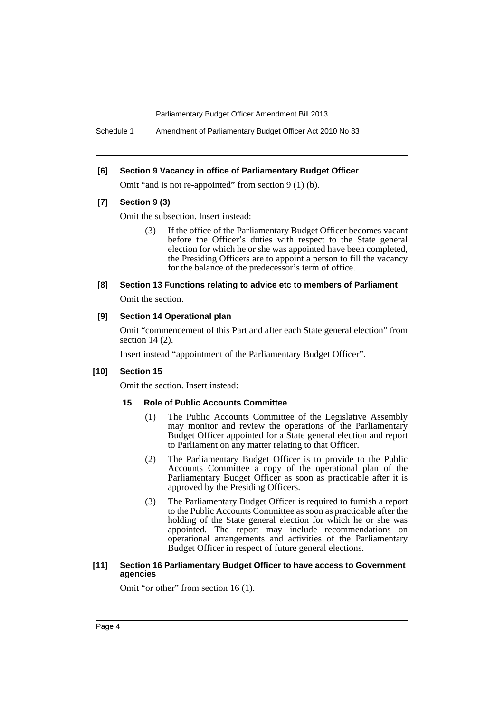Schedule 1 Amendment of Parliamentary Budget Officer Act 2010 No 83

#### **[6] Section 9 Vacancy in office of Parliamentary Budget Officer**

Omit "and is not re-appointed" from section 9 (1) (b).

#### **[7] Section 9 (3)**

Omit the subsection. Insert instead:

- (3) If the office of the Parliamentary Budget Officer becomes vacant before the Officer's duties with respect to the State general election for which he or she was appointed have been completed, the Presiding Officers are to appoint a person to fill the vacancy for the balance of the predecessor's term of office.
- **[8] Section 13 Functions relating to advice etc to members of Parliament** Omit the section.

#### **[9] Section 14 Operational plan**

Omit "commencement of this Part and after each State general election" from section 14 (2).

Insert instead "appointment of the Parliamentary Budget Officer".

#### **[10] Section 15**

Omit the section. Insert instead:

#### **15 Role of Public Accounts Committee**

- (1) The Public Accounts Committee of the Legislative Assembly may monitor and review the operations of the Parliamentary Budget Officer appointed for a State general election and report to Parliament on any matter relating to that Officer.
- (2) The Parliamentary Budget Officer is to provide to the Public Accounts Committee a copy of the operational plan of the Parliamentary Budget Officer as soon as practicable after it is approved by the Presiding Officers.
- (3) The Parliamentary Budget Officer is required to furnish a report to the Public Accounts Committee as soon as practicable after the holding of the State general election for which he or she was appointed. The report may include recommendations on operational arrangements and activities of the Parliamentary Budget Officer in respect of future general elections.

#### **[11] Section 16 Parliamentary Budget Officer to have access to Government agencies**

Omit "or other" from section 16 (1).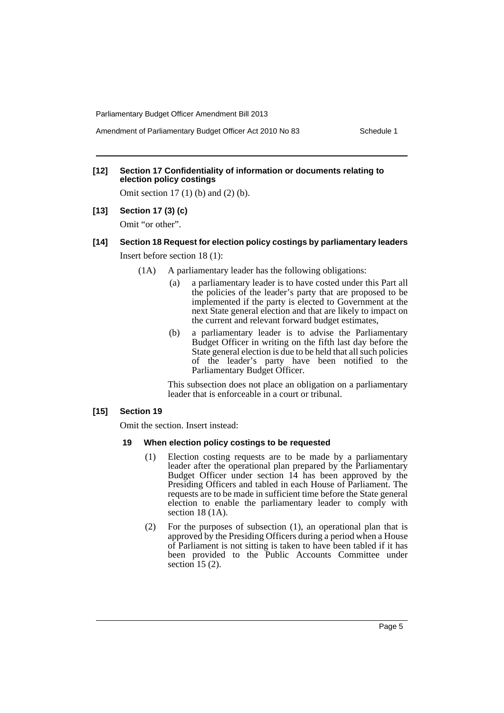#### **[12] Section 17 Confidentiality of information or documents relating to election policy costings**

Omit section 17 (1) (b) and (2) (b).

**[13] Section 17 (3) (c)**

Omit "or other".

### **[14] Section 18 Request for election policy costings by parliamentary leaders**

Insert before section 18 (1):

- (1A) A parliamentary leader has the following obligations:
	- (a) a parliamentary leader is to have costed under this Part all the policies of the leader's party that are proposed to be implemented if the party is elected to Government at the next State general election and that are likely to impact on the current and relevant forward budget estimates,
	- (b) a parliamentary leader is to advise the Parliamentary Budget Officer in writing on the fifth last day before the State general election is due to be held that all such policies of the leader's party have been notified to the Parliamentary Budget Officer.

This subsection does not place an obligation on a parliamentary leader that is enforceable in a court or tribunal.

#### **[15] Section 19**

Omit the section. Insert instead:

#### **19 When election policy costings to be requested**

- (1) Election costing requests are to be made by a parliamentary leader after the operational plan prepared by the Parliamentary Budget Officer under section 14 has been approved by the Presiding Officers and tabled in each House of Parliament. The requests are to be made in sufficient time before the State general election to enable the parliamentary leader to comply with section 18 (1A).
- (2) For the purposes of subsection (1), an operational plan that is approved by the Presiding Officers during a period when a House of Parliament is not sitting is taken to have been tabled if it has been provided to the Public Accounts Committee under section  $15(2)$ .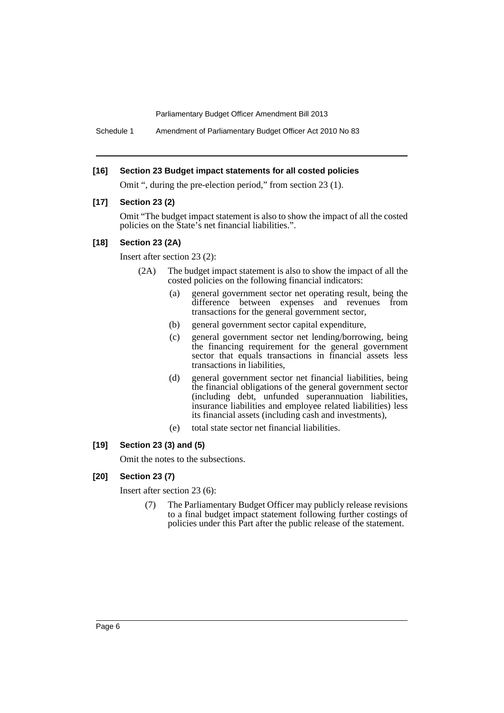Schedule 1 Amendment of Parliamentary Budget Officer Act 2010 No 83

#### **[16] Section 23 Budget impact statements for all costed policies**

Omit ", during the pre-election period," from section 23 (1).

#### **[17] Section 23 (2)**

Omit "The budget impact statement is also to show the impact of all the costed policies on the State's net financial liabilities.".

#### **[18] Section 23 (2A)**

Insert after section 23 (2):

- (2A) The budget impact statement is also to show the impact of all the costed policies on the following financial indicators:
	- (a) general government sector net operating result, being the difference between expenses and revenues from transactions for the general government sector,
	- (b) general government sector capital expenditure,
	- (c) general government sector net lending/borrowing, being the financing requirement for the general government sector that equals transactions in financial assets less transactions in liabilities,
	- (d) general government sector net financial liabilities, being the financial obligations of the general government sector (including debt, unfunded superannuation liabilities, insurance liabilities and employee related liabilities) less its financial assets (including cash and investments),
	- (e) total state sector net financial liabilities.

#### **[19] Section 23 (3) and (5)**

Omit the notes to the subsections.

#### **[20] Section 23 (7)**

Insert after section 23 (6):

(7) The Parliamentary Budget Officer may publicly release revisions to a final budget impact statement following further costings of policies under this Part after the public release of the statement.